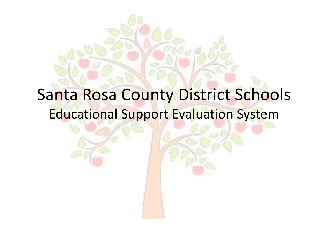# Santa Rosa County District Schools Educational Support Evaluation System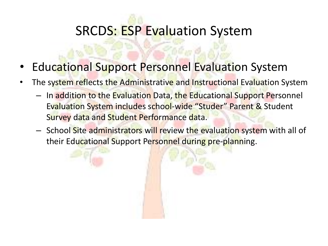- Educational Support Personnel Evaluation System
- The system reflects the Administrative and Instructional Evaluation System
	- In addition to the Evaluation Data, the Educational Support Personnel Evaluation System includes school-wide "Studer" Parent & Student Survey data and Student Performance data.
	- School Site administrators will review the evaluation system with all of their Educational Support Personnel during pre-planning.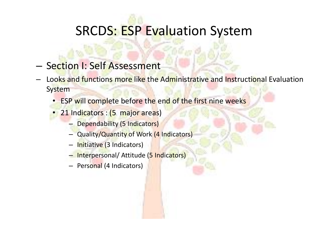- Section I: Self Assessment
- Looks and functions more like the Administrative and Instructional Evaluation System
	- ESP will complete before the end of the first nine weeks
	- 21 Indicators : (5 major areas)
		- Dependability (5 Indicators)
		- Quality/Quantity of Work (4 Indicators)
		- Initiative (3 Indicators)
		- Interpersonal/ Attitude (5 Indicators)
		- Personal (4 Indicators)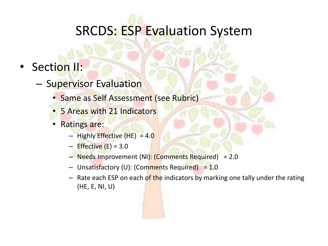- Section II:
	- Supervisor Evaluation
		- Same as Self Assessment (see Rubric)
		- 5 Areas with 21 Indicators
		- Ratings are:
			- $-$  Highly Effective (HE) = 4.0
			- $-$  Effective (E) = 3.0
			- Needs Improvement (NI): (Comments Required) = 2.0
			- Unsatisfactory (U): (Comments Required) = 1.0
			- $-$  Rate each ESP on each of the indicators by marking one tally under the rating (HE, E, NI, U)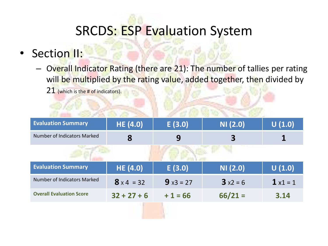### • Section II:

– Overall Indicator Rating (there are 21): The number of tallies per rating will be multiplied by the rating value, added together, then divided by 21 (which is the # of indicators).

| <b>Evaluation Summary</b>       | <b>HE (4.0)</b>   | E(3.0)     | NI(2.0)    | U(1.0)           |
|---------------------------------|-------------------|------------|------------|------------------|
| Number of Indicators Marked     | 8                 | 9          | 3          |                  |
|                                 |                   |            |            |                  |
| <b>Evaluation Summary</b>       | <b>HE (4.0)</b>   | E(3.0)     | NI(2.0)    | U(1.0)           |
| Number of Indicators Marked     | $8 \times 4 = 32$ | $9x3 = 27$ | $3x^2 = 6$ | $1 \times 1 = 1$ |
| <b>Overall Evaluation Score</b> | $32 + 27 + 6$     | $+1=66$    | $66/21 =$  | 3.14             |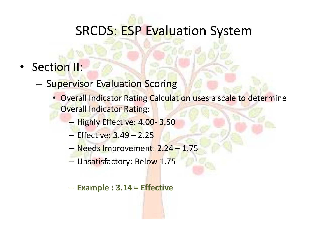- Section II:
	- Supervisor Evaluation Scoring
		- Overall Indicator Rating Calculation uses a scale to determine Overall Indicator Rating:
			- Highly Effective: 4.00- 3.50
			- Effective: 3.49 2.25
			- Needs Improvement: 2.24 1.75
			- Unsatisfactory: Below 1.75
			- **Example : 3.14 = Effective**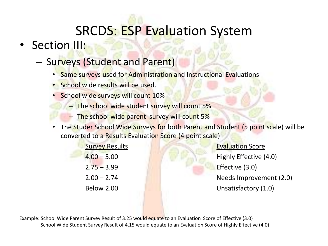## • Section III:

#### – Surveys (Student and Parent)

- Same surveys used for Administration and Instructional Evaluations
- School wide results will be used.
- School wide surveys will count 10%
	- The school wide student survey will count 5%
	- The school wide parent survey will count 5%
- The Studer School Wide Surveys for both Parent and Student (5 point scale) will be converted to a Results Evaluation Score (4 point scale)

**Survey Results Evaluation Score** 4.00 – 5.00 Highly Effective (4.0) 2.75 – 3.99 Effective (3.0) 2.00 – 2.74 Needs Improvement (2.0) Below 2.00 Unsatisfactory (1.0)

Example: School Wide Parent Survey Result of 3.25 would equate to an Evaluation Score of Effective (3.0) School Wide Student Survey Result of 4.15 would equate to an Evaluation Score of Highly Effective (4.0)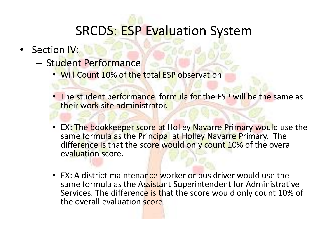- Section IV:
	- Student Performance
		- Will Count 10% of the total ESP observation
		- The student performance formula for the ESP will be the same as their work site administrator.
		- EX: The bookkeeper score at Holley Navarre Primary would use the same formula as the Principal at Holley Navarre Primary. The difference is that the score would only count 10% of the overall evaluation score.
		- EX: A district maintenance worker or bus driver would use the same formula as the Assistant Superintendent for Administrative Services. The difference is that the score would only count 10% of the overall evaluation score.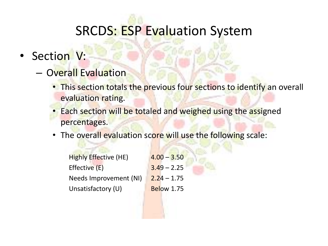- Section V:
	- Overall Evaluation
		- This section totals the previous four sections to identify an overall evaluation rating.
		- Each section will be totaled and weighed using the assigned percentages.
		- The overall evaluation score will use the following scale:

| <b>Highly Effective (HE)</b> | $4.00 - 3.50$     |
|------------------------------|-------------------|
| Effective (E)                | $3.49 - 2.25$     |
| Needs Improvement (NI)       | $2.24 - 1.75$     |
| Unsatisfactory (U)           | <b>Below 1.75</b> |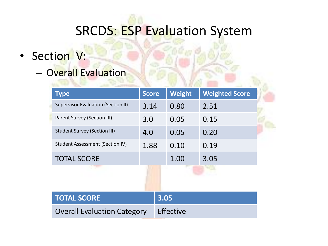- Section V:
	- Overall Evaluation

| <b>Type</b>                               | <b>Score</b> |           | <b>Weight</b> | <b>Weighted Score</b> |  |
|-------------------------------------------|--------------|-----------|---------------|-----------------------|--|
| <b>Supervisor Evaluation (Section II)</b> | 3.14         |           | 0.80          | 2.51                  |  |
| Parent Survey (Section III)               | 3.0          |           | 0.05          | 0.15                  |  |
| <b>Student Survey (Section III)</b>       | 4.0          |           | 0.05          | 0.20                  |  |
| Student Assessment (Section IV)           | 1.88         |           | 0.10          | 0.19                  |  |
| <b>TOTAL SCORE</b>                        |              |           | 1.00          | 3.05                  |  |
|                                           |              |           |               |                       |  |
|                                           |              |           |               |                       |  |
| <b>TOTAL SCORE</b>                        |              | 3.05      |               |                       |  |
| <b>Overall Evaluation Category</b>        |              | Effective |               |                       |  |